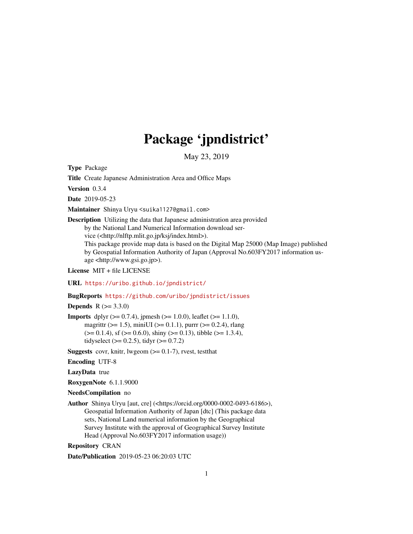# Package 'jpndistrict'

May 23, 2019

Type Package

Title Create Japanese Administration Area and Office Maps

Version 0.3.4

Date 2019-05-23

Maintainer Shinya Uryu <suika1127@gmail.com>

Description Utilizing the data that Japanese administration area provided

by the National Land Numerical Information download ser-

vice (<http://nlftp.mlit.go.jp/ksj/index.html>).

This package provide map data is based on the Digital Map 25000 (Map Image) published by Geospatial Information Authority of Japan (Approval No.603FY2017 information usage <http://www.gsi.go.jp>).

License MIT + file LICENSE

URL <https://uribo.github.io/jpndistrict/>

#### BugReports <https://github.com/uribo/jpndistrict/issues>

**Depends**  $R (= 3.3.0)$ 

**Imports** dplyr ( $> = 0.7.4$ ), jpmesh ( $> = 1.0.0$ ), leaflet ( $> = 1.1.0$ ), magrittr ( $>= 1.5$ ), miniUI ( $>= 0.1.1$ ), purrr ( $>= 0.2.4$ ), rlang  $(>= 0.1.4)$ , sf  $(>= 0.6.0)$ , shiny  $(>= 0.13)$ , tibble  $(>= 1.3.4)$ , tidyselect ( $> = 0.2.5$ ), tidyr ( $> = 0.7.2$ )

**Suggests** covr, knitr, lwgeom  $(>= 0.1-7)$ , rvest, testthat

Encoding UTF-8

LazyData true

RoxygenNote 6.1.1.9000

NeedsCompilation no

Author Shinya Uryu [aut, cre] (<https://orcid.org/0000-0002-0493-6186>), Geospatial Information Authority of Japan [dtc] (This package data sets, National Land numerical information by the Geographical Survey Institute with the approval of Geographical Survey Institute Head (Approval No.603FY2017 information usage))

Repository CRAN

Date/Publication 2019-05-23 06:20:03 UTC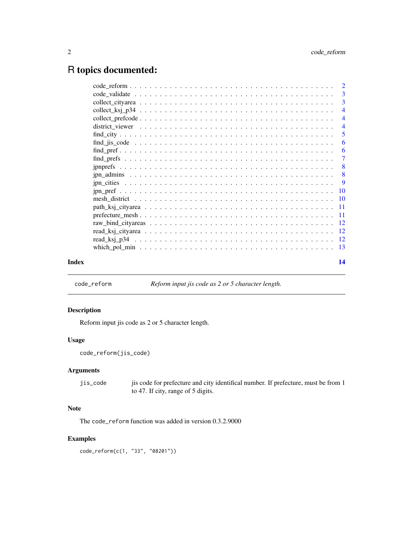# <span id="page-1-0"></span>R topics documented:

|       |                                                                                                         | $\overline{4}$             |
|-------|---------------------------------------------------------------------------------------------------------|----------------------------|
|       |                                                                                                         |                            |
|       | $find\_city \ldots \ldots \ldots \ldots \ldots \ldots \ldots \ldots \ldots \ldots \ldots \ldots \ldots$ | $\overline{\phantom{0}}$ 5 |
|       |                                                                                                         | -6                         |
|       |                                                                                                         | -6                         |
|       |                                                                                                         |                            |
|       |                                                                                                         | $\overline{\phantom{0}}8$  |
|       |                                                                                                         |                            |
|       |                                                                                                         |                            |
|       |                                                                                                         |                            |
|       |                                                                                                         |                            |
|       |                                                                                                         |                            |
|       |                                                                                                         |                            |
|       |                                                                                                         |                            |
|       |                                                                                                         |                            |
|       |                                                                                                         |                            |
|       |                                                                                                         |                            |
| Index |                                                                                                         | 14                         |

code\_reform *Reform input jis code as 2 or 5 character length.*

#### Description

Reform input jis code as 2 or 5 character length.

#### Usage

```
code_reform(jis_code)
```
#### Arguments

jis\_code jis code for prefecture and city identifical number. If prefecture, must be from 1 to 47. If city, range of 5 digits.

### Note

The code\_reform function was added in version 0.3.2.9000

#### Examples

code\_reform(c(1, "33", "08201"))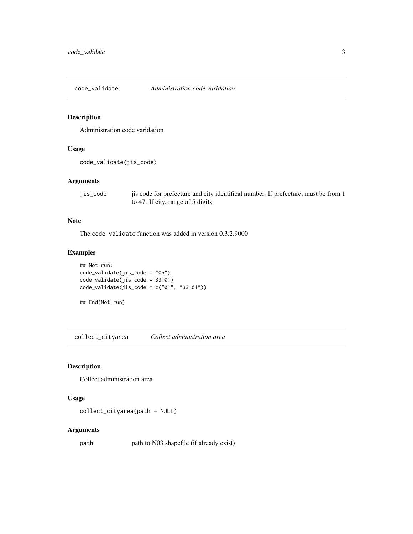<span id="page-2-0"></span>code\_validate *Administration code varidation*

#### Description

Administration code varidation

#### Usage

```
code_validate(jis_code)
```
#### Arguments

jis\_code jis code for prefecture and city identifical number. If prefecture, must be from 1 to 47. If city, range of 5 digits.

#### Note

The code\_validate function was added in version 0.3.2.9000

#### Examples

```
## Not run:
code_validate(jis_code = "05")
code_validate(jis_code = 33101)
code_validate(jis_code = c("01", "33101"))
```
## End(Not run)

collect\_cityarea *Collect administration area*

#### Description

Collect administration area

#### Usage

collect\_cityarea(path = NULL)

#### Arguments

path path to N03 shapefile (if already exist)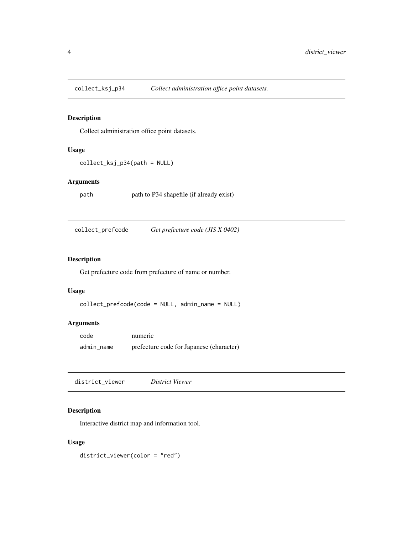<span id="page-3-0"></span>

Collect administration office point datasets.

#### Usage

collect\_ksj\_p34(path = NULL)

#### Arguments

path path to P34 shapefile (if already exist)

collect\_prefcode *Get prefecture code (JIS X 0402)*

#### Description

Get prefecture code from prefecture of name or number.

#### Usage

```
collect_prefcode(code = NULL, admin_name = NULL)
```
#### Arguments

| code       | numeric                                  |
|------------|------------------------------------------|
| admin_name | prefecture code for Japanese (character) |

district\_viewer *District Viewer*

#### Description

Interactive district map and information tool.

#### Usage

district\_viewer(color = "red")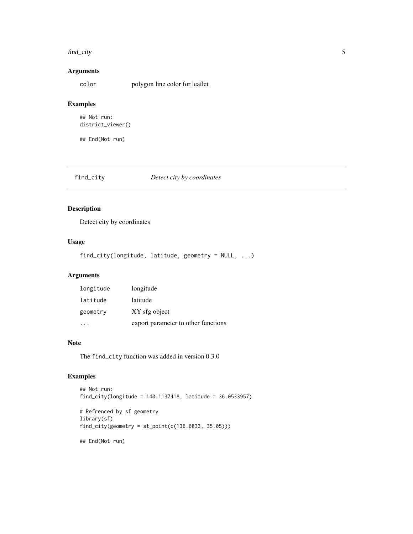#### <span id="page-4-0"></span>find\_city 5

#### Arguments

color polygon line color for leaflet

#### Examples

```
## Not run:
district_viewer()
```
## End(Not run)

#### find\_city *Detect city by coordinates*

#### Description

Detect city by coordinates

#### Usage

find\_city(longitude, latitude, geometry = NULL, ...)

#### Arguments

| longitude                           |
|-------------------------------------|
| latitude                            |
| XY sfg object                       |
| export parameter to other functions |
|                                     |

#### Note

The find\_city function was added in version 0.3.0

#### Examples

```
## Not run:
find_city(longitude = 140.1137418, latitude = 36.0533957)
# Refrenced by sf geometry
library(sf)
find_city(geometry = st_point(c(136.6833, 35.05)))
## End(Not run)
```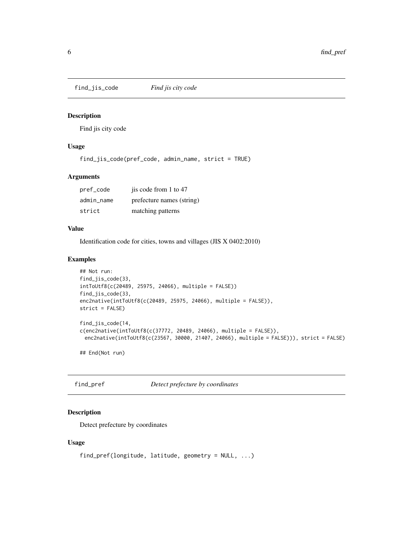<span id="page-5-0"></span>

Find jis city code

#### Usage

find\_jis\_code(pref\_code, admin\_name, strict = TRUE)

#### Arguments

| pref_code  | jis code from 1 to 47     |
|------------|---------------------------|
| admin name | prefecture names (string) |
| strict     | matching patterns         |

#### Value

Identification code for cities, towns and villages (JIS X 0402:2010)

#### Examples

```
## Not run:
find_jis_code(33,
intToUtf8(c(20489, 25975, 24066), multiple = FALSE))
find_jis_code(33,
enc2native(intToUtf8(c(20489, 25975, 24066), multiple = FALSE)),
strict = FALSE)
find_jis_code(14,
c(enc2native(intToUtf8(c(37772, 20489, 24066), multiple = FALSE)),
 enc2native(intToUtf8(c(23567, 30000, 21407, 24066), multiple = FALSE))), strict = FALSE)
```
## End(Not run)

find\_pref *Detect prefecture by coordinates*

#### Description

Detect prefecture by coordinates

#### Usage

```
find_pref(longitude, latitude, geometry = NULL, ...)
```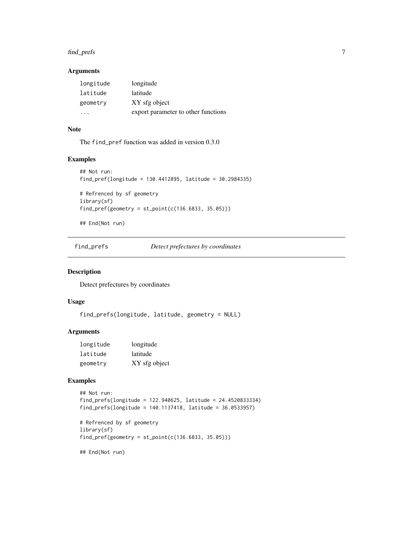#### <span id="page-6-0"></span>find\_prefs 7

#### Arguments

| longitude | longitude                           |
|-----------|-------------------------------------|
| latitude  | latitude                            |
| geometry  | XY sfg object                       |
| .         | export parameter to other functions |

#### Note

The find\_pref function was added in version 0.3.0

#### Examples

```
## Not run:
find_pref(longitude = 130.4412895, latitude = 30.2984335)
# Refrenced by sf geometry
library(sf)
find_pref(geometry = st\_point(c(136.6833, 35.05)))
```
## End(Not run)

find\_prefs *Detect prefectures by coordinates*

#### Description

Detect prefectures by coordinates

#### Usage

find\_prefs(longitude, latitude, geometry = NULL)

#### Arguments

| longitude | longitude     |
|-----------|---------------|
| latitude  | latitude      |
| geometry  | XY sfg object |

#### Examples

## Not run: find\_prefs(longitude = 122.940625, latitude = 24.4520833334) find\_prefs(longitude = 140.1137418, latitude = 36.0533957) # Refrenced by sf geometry library(sf)  $find\_pref(geometry = st\_point(c(136.6833, 35.05)))$ 

## End(Not run)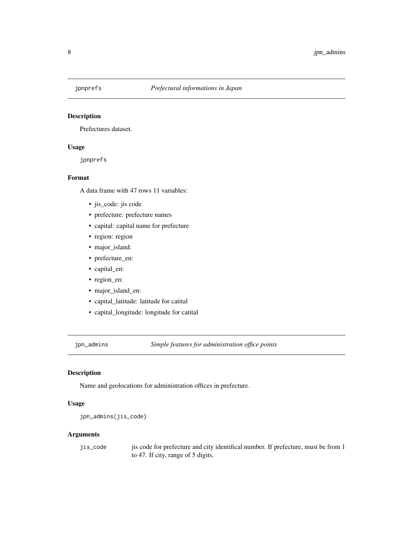<span id="page-7-0"></span>

Prefectures dataset.

#### Usage

jpnprefs

#### Format

A data frame with 47 rows 11 variables:

- jis\_code: jis code
- prefecture: prefecture names
- capital: capital name for prefecture
- region: region
- major\_island:
- prefecture\_en:
- capital\_en:
- region\_en:
- major\_island\_en:
- capital\_latitude: latitude for catital
- capital\_longitude: longitude for catital

jpn\_admins *Simple features for administration office points*

#### Description

Name and geolocations for administration offices in prefecture.

#### Usage

```
jpn_admins(jis_code)
```
#### Arguments

| jis_code | j is code for prefecture and city identifical number. If prefecture, must be from 1 |
|----------|-------------------------------------------------------------------------------------|
|          | to 47. If city, range of 5 digits.                                                  |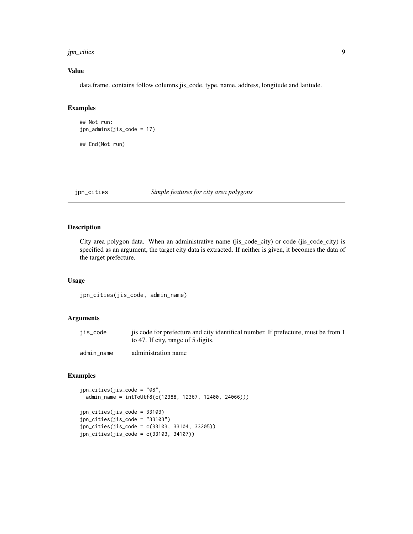#### <span id="page-8-0"></span>jpn\_cities 9

#### Value

data.frame. contains follow columns jis\_code, type, name, address, longitude and latitude.

#### Examples

```
## Not run:
jpn_admins(jis_code = 17)
## End(Not run)
```
jpn\_cities *Simple features for city area polygons*

#### Description

City area polygon data. When an administrative name (jis\_code\_city) or code (jis\_code\_city) is specified as an argument, the target city data is extracted. If neither is given, it becomes the data of the target prefecture.

#### Usage

jpn\_cities(jis\_code, admin\_name)

#### Arguments

| jis_code   | is code for prefecture and city identifical number. If prefecture, must be from 1<br>to 47. If city, range of 5 digits. |  |
|------------|-------------------------------------------------------------------------------------------------------------------------|--|
| admin name | administration name                                                                                                     |  |

#### Examples

```
jpn_cities(jis_code = "08",
 admin_name = intToUtf8(c(12388, 12367, 12400, 24066)))
jpn_cities(jis_code = 33103)
jpn_cities(jis_code = "33103")
jpn_cities(jis_code = c(33103, 33104, 33205))
jpn_cities(jis_code = c(33103, 34107))
```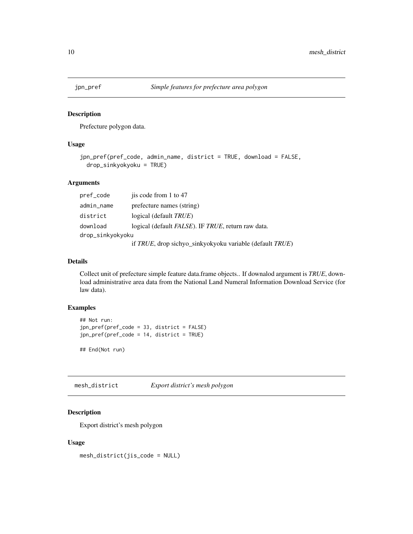<span id="page-9-0"></span>

Prefecture polygon data.

#### Usage

```
jpn_pref(pref_code, admin_name, district = TRUE, download = FALSE,
 drop_sinkyokyoku = TRUE)
```
#### Arguments

| pref_code        | jis code from 1 to 47                                    |  |
|------------------|----------------------------------------------------------|--|
| admin_name       | prefecture names (string)                                |  |
| district         | logical (default <i>TRUE</i> )                           |  |
| download         | logical (default FALSE). IF TRUE, return raw data.       |  |
| drop_sinkyokyoku |                                                          |  |
|                  | if TRUE, drop sichyo_sinkyokyoku variable (default TRUE) |  |

#### Details

Collect unit of prefecture simple feature data.frame objects.. If downalod argument is *TRUE*, download administrative area data from the National Land Numeral Information Download Service (for law data).

#### Examples

```
## Not run:
jpn_pref(pref_code = 33, district = FALSE)
jpn_pref(pref_code = 14, district = TRUE)
```
## End(Not run)

mesh\_district *Export district's mesh polygon*

#### Description

Export district's mesh polygon

#### Usage

mesh\_district(jis\_code = NULL)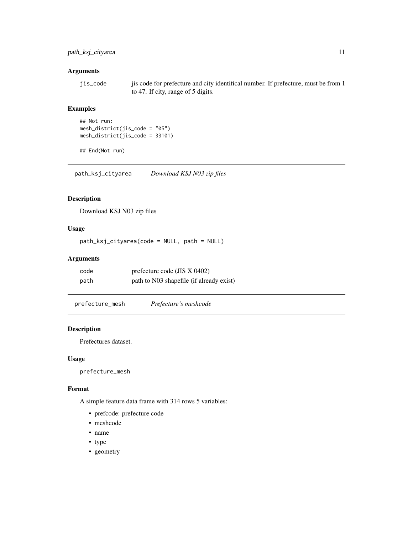#### <span id="page-10-0"></span>path\_ksj\_cityarea 11

#### Arguments

```
jis_code jis code for prefecture and city identifical number. If prefecture, must be from 1
                  to 47. If city, range of 5 digits.
```
#### Examples

```
## Not run:
mesh_district(jis_code = "05")
mesh_district(jis_code = 33101)
```

```
## End(Not run)
```
path\_ksj\_cityarea *Download KSJ N03 zip files*

#### Description

Download KSJ N03 zip files

#### Usage

path\_ksj\_cityarea(code = NULL, path = NULL)

#### Arguments

| code | prefecture code (JIS $X$ 0402)           |
|------|------------------------------------------|
| path | path to N03 shapefile (if already exist) |

prefecture\_mesh *Prefecture's meshcode*

#### Description

Prefectures dataset.

#### Usage

prefecture\_mesh

#### Format

A simple feature data frame with 314 rows 5 variables:

- prefcode: prefecture code
- meshcode
- name
- type
- geometry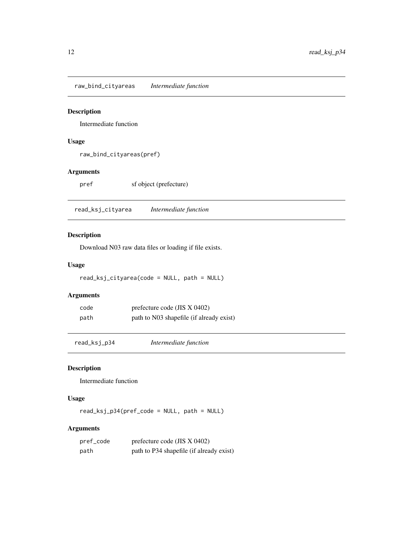<span id="page-11-0"></span>raw\_bind\_cityareas *Intermediate function*

#### Description

Intermediate function

### Usage

```
raw_bind_cityareas(pref)
```
#### Arguments

pref sf object (prefecture)

read\_ksj\_cityarea *Intermediate function*

#### Description

Download N03 raw data files or loading if file exists.

### Usage

read\_ksj\_cityarea(code = NULL, path = NULL)

#### Arguments

| code | prefecture code (JIS $X$ 0402)           |
|------|------------------------------------------|
| path | path to N03 shapefile (if already exist) |

read\_ksj\_p34 *Intermediate function*

#### Description

Intermediate function

#### Usage

read\_ksj\_p34(pref\_code = NULL, path = NULL)

#### Arguments

| pref_code | prefecture code (JIS $X$ 0402)           |
|-----------|------------------------------------------|
| path      | path to P34 shapefile (if already exist) |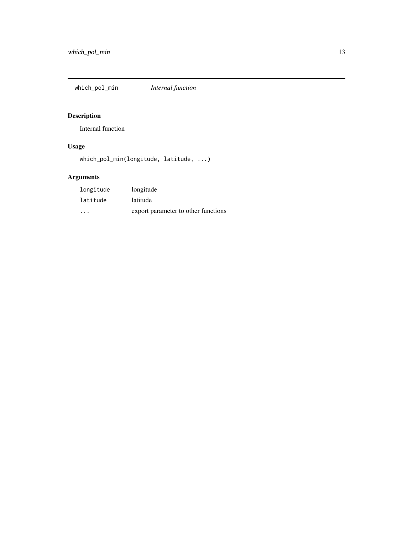<span id="page-12-0"></span>which\_pol\_min *Internal function*

# Description

Internal function

# Usage

which\_pol\_min(longitude, latitude, ...)

# Arguments

| longitude | longitude                           |
|-----------|-------------------------------------|
| latitude  | latitude                            |
| $\cdot$   | export parameter to other functions |